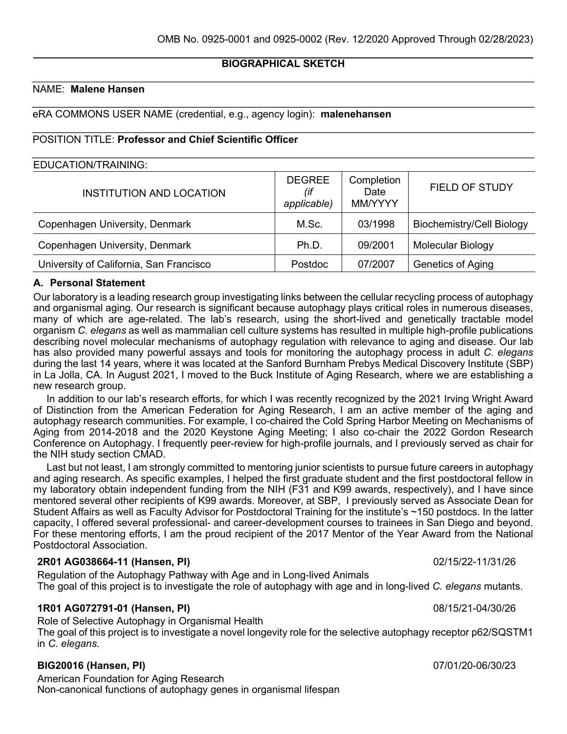# **BIOGRAPHICAL SKETCH**

# NAME: **Malene Hansen**

eRA COMMONS USER NAME (credential, e.g., agency login): **malenehansen**

### POSITION TITLE: **Professor and Chief Scientific Officer**

### EDUCATION/TRAINING:

| INSTITUTION AND LOCATION                | <b>DEGREE</b><br>(if<br>applicable) | Completion<br>Date<br>MM/YYYY | <b>FIELD OF STUDY</b>            |
|-----------------------------------------|-------------------------------------|-------------------------------|----------------------------------|
| Copenhagen University, Denmark          | M.Sc.                               | 03/1998                       | <b>Biochemistry/Cell Biology</b> |
| Copenhagen University, Denmark          | Ph.D.                               | 09/2001                       | Molecular Biology                |
| University of California, San Francisco | Postdoc                             | 07/2007                       | Genetics of Aging                |

## **A. Personal Statement**

Our laboratory is a leading research group investigating links between the cellular recycling process of autophagy and organismal aging. Our research is significant because autophagy plays critical roles in numerous diseases, many of which are age-related. The lab's research, using the short-lived and genetically tractable model organism *C. elegans* as well as mammalian cell culture systems has resulted in multiple high-profile publications describing novel molecular mechanisms of autophagy regulation with relevance to aging and disease. Our lab has also provided many powerful assays and tools for monitoring the autophagy process in adult *C. elegans* during the last 14 years, where it was located at the Sanford Burnham Prebys Medical Discovery Institute (SBP) in La Jolla, CA. In August 2021, I moved to the Buck Institute of Aging Research, where we are establishing a new research group.

In addition to our lab's research efforts, for which I was recently recognized by the 2021 Irving Wright Award of Distinction from the American Federation for Aging Research, I am an active member of the aging and autophagy research communities. For example, I co-chaired the Cold Spring Harbor Meeting on Mechanisms of Aging from 2014-2018 and the 2020 Keystone Aging Meeting; I also co-chair the 2022 Gordon Research Conference on Autophagy. I frequently peer-review for high-profile journals, and I previously served as chair for the NIH study section CMAD.

Last but not least, I am strongly committed to mentoring junior scientists to pursue future careers in autophagy and aging research. As specific examples, I helped the first graduate student and the first postdoctoral fellow in my laboratory obtain independent funding from the NIH (F31 and K99 awards, respectively), and I have since mentored several other recipients of K99 awards. Moreover, at SBP, I previously served as Associate Dean for Student Affairs as well as Faculty Advisor for Postdoctoral Training for the institute's ~150 postdocs. In the latter capacity, I offered several professional- and career-development courses to trainees in San Diego and beyond. For these mentoring efforts, I am the proud recipient of the 2017 Mentor of the Year Award from the National Postdoctoral Association.

#### **2R01 AG038664-11 (Hansen, PI)** 02/15/22-11/31/26

Regulation of the Autophagy Pathway with Age and in Long-lived Animals The goal of this project is to investigate the role of autophagy with age and in long-lived *C. elegans* mutants.

#### **1R01 AG072791-01 (Hansen, PI)** 08/15/21-04/30/26

Role of Selective Autophagy in Organismal Health The goal of this project is to investigate a novel longevity role for the selective autophagy receptor p62/SQSTM1 in *C. elegans*.

## **BIG20016 (Hansen, PI)** 07/01/20-06/30/23

American Foundation for Aging Research Non-canonical functions of autophagy genes in organismal lifespan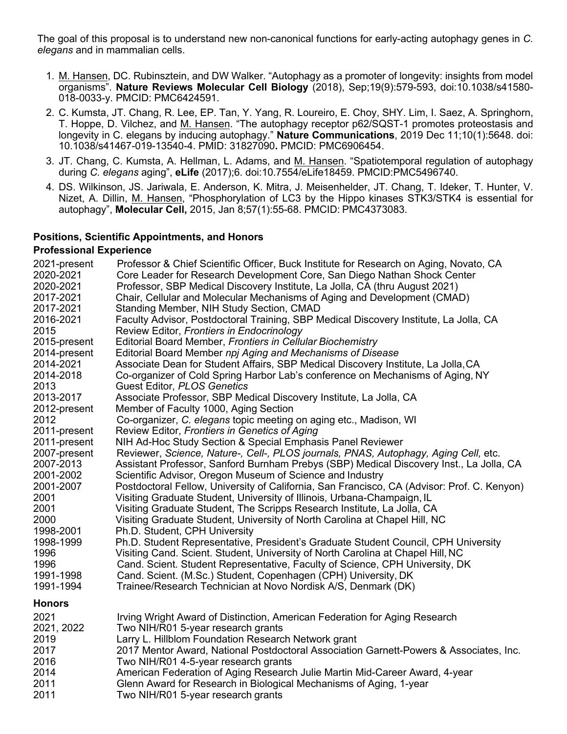The goal of this proposal is to understand new non-canonical functions for early-acting autophagy genes in *C. elegans* and in mammalian cells.

- 1. M. Hansen, DC. Rubinsztein, and DW Walker. "Autophagy as a promoter of longevity: insights from model organisms". **Nature Reviews Molecular Cell Biology** (2018), Sep;19(9):579-593, doi:10.1038/s41580- 018-0033-y. PMCID: PMC6424591.
- 2. C. Kumsta, JT. Chang, R. Lee, EP. Tan, Y. Yang, R. Loureiro, E. Choy, SHY. Lim, I. Saez, A. Springhorn, T. Hoppe, D. Vilchez, and M. Hansen. "The autophagy receptor p62/SQST-1 promotes proteostasis and longevity in C. elegans by inducing autophagy." **Nature Communications**, 2019 Dec 11;10(1):5648. doi: 10.1038/s41467-019-13540-4. PMID: 31827090**.** PMCID: PMC6906454.
- 3. JT. Chang, C. Kumsta, A. Hellman, L. Adams, and M. Hansen. "Spatiotemporal regulation of autophagy during *C. elegans* aging", **eLife** (2017);6. doi:10.7554/eLife18459. PMCID:PMC5496740.
- 4. DS. Wilkinson, JS. Jariwala, E. Anderson, K. Mitra, J. Meisenhelder, JT. Chang, T. Ideker, T. Hunter, V. Nizet, A. Dillin, M. Hansen, "Phosphorylation of LC3 by the Hippo kinases STK3/STK4 is essential for autophagy", **Molecular Cell,** 2015, Jan 8;57(1):55-68. PMCID: PMC4373083.

## **Positions, Scientific Appointments, and Honors**

#### **Professional Experience**

| 2021-present  | Professor & Chief Scientific Officer, Buck Institute for Research on Aging, Novato, CA      |
|---------------|---------------------------------------------------------------------------------------------|
| 2020-2021     | Core Leader for Research Development Core, San Diego Nathan Shock Center                    |
| 2020-2021     | Professor, SBP Medical Discovery Institute, La Jolla, CA (thru August 2021)                 |
| 2017-2021     | Chair, Cellular and Molecular Mechanisms of Aging and Development (CMAD)                    |
| 2017-2021     | Standing Member, NIH Study Section, CMAD                                                    |
| 2016-2021     | Faculty Advisor, Postdoctoral Training, SBP Medical Discovery Institute, La Jolla, CA       |
| 2015          | Review Editor, Frontiers in Endocrinology                                                   |
| 2015-present  | Editorial Board Member, Frontiers in Cellular Biochemistry                                  |
| 2014-present  | Editorial Board Member npj Aging and Mechanisms of Disease                                  |
| 2014-2021     | Associate Dean for Student Affairs, SBP Medical Discovery Institute, La Jolla, CA           |
| 2014-2018     | Co-organizer of Cold Spring Harbor Lab's conference on Mechanisms of Aging, NY              |
| 2013          | <b>Guest Editor, PLOS Genetics</b>                                                          |
| 2013-2017     | Associate Professor, SBP Medical Discovery Institute, La Jolla, CA                          |
| 2012-present  | Member of Faculty 1000, Aging Section                                                       |
| 2012          | Co-organizer, C. elegans topic meeting on aging etc., Madison, WI                           |
| 2011-present  | Review Editor, Frontiers in Genetics of Aging                                               |
| 2011-present  | NIH Ad-Hoc Study Section & Special Emphasis Panel Reviewer                                  |
| 2007-present  | Reviewer, Science, Nature-, Cell-, PLOS journals, PNAS, Autophagy, Aging Cell, etc.         |
| 2007-2013     | Assistant Professor, Sanford Burnham Prebys (SBP) Medical Discovery Inst., La Jolla, CA     |
| 2001-2002     | Scientific Advisor, Oregon Museum of Science and Industry                                   |
| 2001-2007     | Postdoctoral Fellow, University of California, San Francisco, CA (Advisor: Prof. C. Kenyon) |
| 2001          | Visiting Graduate Student, University of Illinois, Urbana-Champaign, IL                     |
| 2001          | Visiting Graduate Student, The Scripps Research Institute, La Jolla, CA                     |
| 2000          | Visiting Graduate Student, University of North Carolina at Chapel Hill, NC                  |
| 1998-2001     | Ph.D. Student, CPH University                                                               |
| 1998-1999     | Ph.D. Student Representative, President's Graduate Student Council, CPH University          |
| 1996          | Visiting Cand. Scient. Student, University of North Carolina at Chapel Hill, NC             |
| 1996          | Cand. Scient. Student Representative, Faculty of Science, CPH University, DK                |
| 1991-1998     | Cand. Scient. (M.Sc.) Student, Copenhagen (CPH) University, DK                              |
| 1991-1994     | Trainee/Research Technician at Novo Nordisk A/S, Denmark (DK)                               |
| <b>Honors</b> |                                                                                             |
| 2021          | Irving Wright Award of Distinction, American Federation for Aging Research                  |
| 2021, 2022    | Two NIH/R01 5-year research grants                                                          |
| 2019          | Larry L. Hillblom Foundation Research Network grant                                         |
| 2017          | 2017 Mentor Award, National Postdoctoral Association Garnett-Powers & Associates, Inc.      |
| 2016          | Two NIH/R01 4-5-year research grants                                                        |
| 2014          | American Federation of Aging Research Julie Martin Mid-Career Award, 4-year                 |
| 2011          | Glenn Award for Research in Biological Mechanisms of Aging, 1-year                          |
| 2011          | Two NIH/R01 5-year research grants                                                          |
|               |                                                                                             |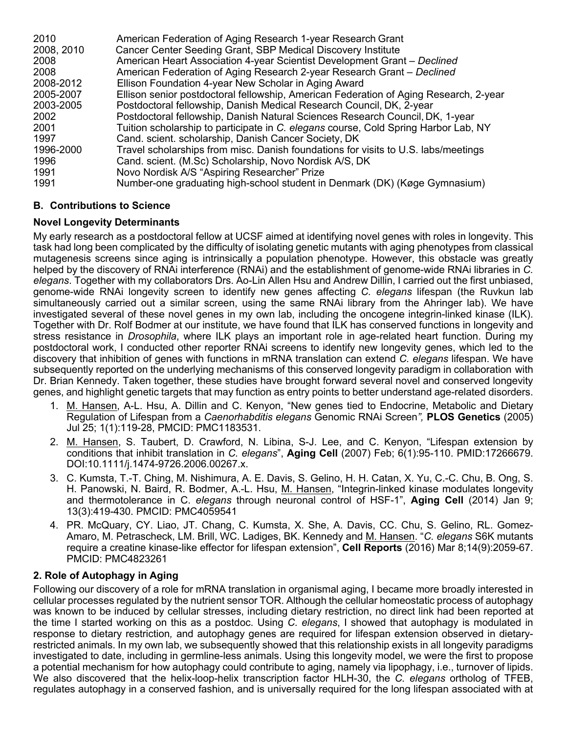| 2010       | American Federation of Aging Research 1-year Research Grant                           |
|------------|---------------------------------------------------------------------------------------|
| 2008, 2010 | Cancer Center Seeding Grant, SBP Medical Discovery Institute                          |
| 2008       | American Heart Association 4-year Scientist Development Grant - Declined              |
| 2008       | American Federation of Aging Research 2-year Research Grant - Declined                |
| 2008-2012  | Ellison Foundation 4-year New Scholar in Aging Award                                  |
| 2005-2007  | Ellison senior postdoctoral fellowship, American Federation of Aging Research, 2-year |
| 2003-2005  | Postdoctoral fellowship, Danish Medical Research Council, DK, 2-year                  |
| 2002       | Postdoctoral fellowship, Danish Natural Sciences Research Council, DK, 1-year         |
| 2001       | Tuition scholarship to participate in C. elegans course, Cold Spring Harbor Lab, NY   |
| 1997       | Cand. scient. scholarship, Danish Cancer Society, DK                                  |
| 1996-2000  | Travel scholarships from misc. Danish foundations for visits to U.S. labs/meetings    |
| 1996       | Cand. scient. (M.Sc) Scholarship, Novo Nordisk A/S, DK                                |
| 1991       | Novo Nordisk A/S "Aspiring Researcher" Prize                                          |
| 1991       | Number-one graduating high-school student in Denmark (DK) (Køge Gymnasium)            |

# **B. Contributions to Science**

# **Novel Longevity Determinants**

My early research as a postdoctoral fellow at UCSF aimed at identifying novel genes with roles in longevity. This task had long been complicated by the difficulty of isolating genetic mutants with aging phenotypes from classical mutagenesis screens since aging is intrinsically a population phenotype. However, this obstacle was greatly helped by the discovery of RNAi interference (RNAi) and the establishment of genome-wide RNAi libraries in *C. elegans*. Together with my collaborators Drs. Ao-Lin Allen Hsu and Andrew Dillin, I carried out the first unbiased, genome-wide RNAi longevity screen to identify new genes affecting *C. elegans* lifespan (the Ruvkun lab simultaneously carried out a similar screen, using the same RNAi library from the Ahringer lab). We have investigated several of these novel genes in my own lab, including the oncogene integrin-linked kinase (ILK). Together with Dr. Rolf Bodmer at our institute, we have found that ILK has conserved functions in longevity and stress resistance in *Drosophila*, where ILK plays an important role in age-related heart function. During my postdoctoral work, I conducted other reporter RNAi screens to identify new longevity genes, which led to the discovery that inhibition of genes with functions in mRNA translation can extend *C. elegans* lifespan. We have subsequently reported on the underlying mechanisms of this conserved longevity paradigm in collaboration with Dr. Brian Kennedy. Taken together, these studies have brought forward several novel and conserved longevity genes, and highlight genetic targets that may function as entry points to better understand age-related disorders.

- 1. M. Hansen, A-L. Hsu, A. Dillin and C. Kenyon, "New genes tied to Endocrine, Metabolic and Dietary Regulation of Lifespan from a *Caenorhabditis elegans* Genomic RNAi Screen*",* **PLOS Genetics** (2005) Jul 25; 1(1):119-28, PMCID: PMC1183531.
- 2. M. Hansen, S. Taubert, D. Crawford, N. Libina, S-J. Lee, and C. Kenyon, "Lifespan extension by conditions that inhibit translation in *C. elegans*", **Aging Cell** (2007) Feb; 6(1):95-110. PMID:17266679. DOI:10.1111/j.1474-9726.2006.00267.x.
- 3. C. Kumsta, T.-T. Ching, M. Nishimura, A. E. Davis, S. Gelino, H. H. Catan, X. Yu, C.-C. Chu, B. Ong, S. H. Panowski, N. Baird, R. Bodmer, A.-L. Hsu, M. Hansen, "Integrin-linked kinase modulates longevity and thermotolerance in C. *elegans* through neuronal control of HSF-1", **Aging Cell** (2014) Jan 9; 13(3):419-430. PMCID: PMC4059541
- 4. PR. McQuary, CY. Liao, JT. Chang, C. Kumsta, X. She, A. Davis, CC. Chu, S. Gelino, RL. Gomez-Amaro, M. Petrascheck, LM. Brill, WC. Ladiges, BK. Kennedy and M. Hansen. "*C. elegans* S6K mutants require a creatine kinase-like effector for lifespan extension", **Cell Reports** (2016) Mar 8;14(9):2059-67. PMCID: PMC4823261

# **2. Role of Autophagy in Aging**

Following our discovery of a role for mRNA translation in organismal aging, I became more broadly interested in cellular processes regulated by the nutrient sensor TOR. Although the cellular homeostatic process of autophagy was known to be induced by cellular stresses, including dietary restriction, no direct link had been reported at the time I started working on this as a postdoc. Using *C. elegans*, I showed that autophagy is modulated in response to dietary restriction*,* and autophagy genes are required for lifespan extension observed in dietaryrestricted animals. In my own lab, we subsequently showed that this relationship exists in all longevity paradigms investigated to date, including in germline-less animals. Using this longevity model, we were the first to propose a potential mechanism for how autophagy could contribute to aging, namely via lipophagy, i.e., turnover of lipids. We also discovered that the helix-loop-helix transcription factor HLH-30, the *C. elegans* ortholog of TFEB, regulates autophagy in a conserved fashion, and is universally required for the long lifespan associated with at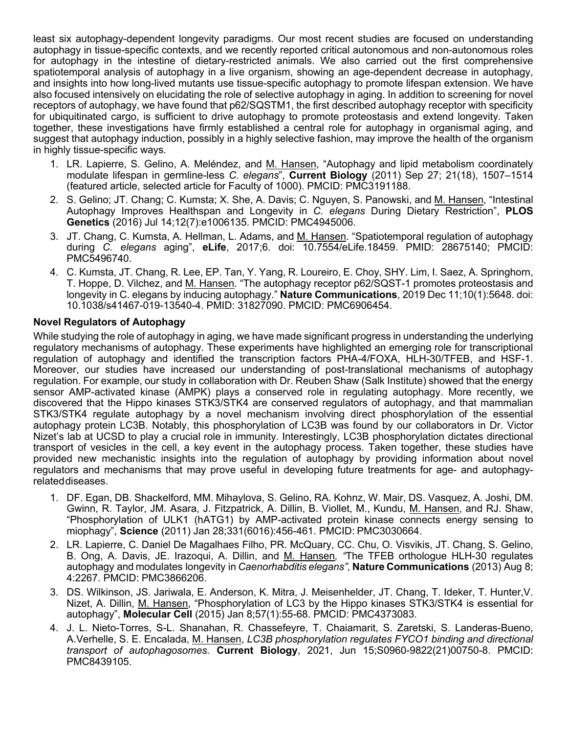least six autophagy-dependent longevity paradigms. Our most recent studies are focused on understanding autophagy in tissue-specific contexts, and we recently reported critical autonomous and non-autonomous roles for autophagy in the intestine of dietary-restricted animals. We also carried out the first comprehensive spatiotemporal analysis of autophagy in a live organism, showing an age-dependent decrease in autophagy, and insights into how long-lived mutants use tissue-specific autophagy to promote lifespan extension. We have also focused intensively on elucidating the role of selective autophagy in aging. In addition to screening for novel receptors of autophagy, we have found that p62/SQSTM1, the first described autophagy receptor with specificity for ubiquitinated cargo, is sufficient to drive autophagy to promote proteostasis and extend longevity. Taken together, these investigations have firmly established a central role for autophagy in organismal aging, and suggest that autophagy induction, possibly in a highly selective fashion, may improve the health of the organism in highly tissue-specific ways.

- 1. LR. Lapierre, S. Gelino, A. Meléndez, and M. Hansen, "Autophagy and lipid metabolism coordinately modulate lifespan in germline-less *C. elegans*", **Current Biology** (2011) Sep 27; 21(18), 1507–1514 (featured article, selected article for Faculty of 1000). PMCID: PMC3191188.
- 2. S. Gelino; JT. Chang; C. Kumsta; X. She, A. Davis; C. Nguyen, S. Panowski, and M. Hansen, "Intestinal Autophagy Improves Healthspan and Longevity in *C. elegans* During Dietary Restriction", **PLOS Genetics** (2016) Jul 14;12(7):e1006135. PMCID: PMC4945006.
- 3. JT. Chang, C. Kumsta, A. Hellman, L. Adams, and M. Hansen. "Spatiotemporal regulation of autophagy during *C. elegans* aging", **eLife**, 2017;6. doi: 10.7554/eLife.18459. PMID: 28675140; PMCID: PMC5496740.
- 4. C. Kumsta, JT. Chang, R. Lee, EP. Tan, Y. Yang, R. Loureiro, E. Choy, SHY. Lim, I. Saez, A. Springhorn, T. Hoppe, D. Vilchez, and M. Hansen. "The autophagy receptor p62/SQST-1 promotes proteostasis and longevity in C. elegans by inducing autophagy." **Nature Communications**, 2019 Dec 11;10(1):5648. doi: 10.1038/s41467-019-13540-4. PMID: 31827090. PMCID: PMC6906454.

## **Novel Regulators of Autophagy**

While studying the role of autophagy in aging, we have made significant progress in understanding the underlying regulatory mechanisms of autophagy. These experiments have highlighted an emerging role for transcriptional regulation of autophagy and identified the transcription factors PHA-4/FOXA, HLH-30/TFEB, and HSF-1. Moreover, our studies have increased our understanding of post-translational mechanisms of autophagy regulation. For example, our study in collaboration with Dr. Reuben Shaw (Salk Institute) showed that the energy sensor AMP-activated kinase (AMPK) plays a conserved role in regulating autophagy. More recently, we discovered that the Hippo kinases STK3/STK4 are conserved regulators of autophagy, and that mammalian STK3/STK4 regulate autophagy by a novel mechanism involving direct phosphorylation of the essential autophagy protein LC3B. Notably, this phosphorylation of LC3B was found by our collaborators in Dr. Victor Nizet's lab at UCSD to play a crucial role in immunity. Interestingly, LC3B phosphorylation dictates directional transport of vesicles in the cell, a key event in the autophagy process. Taken together, these studies have provided new mechanistic insights into the regulation of autophagy by providing information about novel regulators and mechanisms that may prove useful in developing future treatments for age- and autophagyrelateddiseases.

- 1. DF. Egan, DB. Shackelford, MM. Mihaylova, S. Gelino, RA. Kohnz, W. Mair, DS. Vasquez, A. Joshi, DM. Gwinn, R. Taylor, JM. Asara, J. Fitzpatrick, A. Dillin, B. Viollet, M., Kundu, M. Hansen, and RJ. Shaw, "Phosphorylation of ULK1 (hATG1) by AMP-activated protein kinase connects energy sensing to miophagy", **Science** (2011) Jan 28;331(6016):456-461. PMCID: PMC3030664.
- 2. LR. Lapierre, C. Daniel De Magalhaes Filho, PR. McQuary, CC. Chu, O. Visvikis, JT. Chang, S. Gelino, B. Ong, A. Davis, JE. Irazoqui, A. Dillin, and M. Hansen*, "*The TFEB orthologue HLH-30 regulates autophagy and modulates longevity in *Caenorhabditis elegans",* **Nature Communications** (2013) Aug 8; 4:2267. PMCID: PMC3866206.
- 3. DS. Wilkinson, JS. Jariwala, E. Anderson, K. Mitra, J. Meisenhelder, JT. Chang, T. Ideker, T. Hunter,V. Nizet, A. Dillin, M. Hansen, "Phosphorylation of LC3 by the Hippo kinases STK3/STK4 is essential for autophagy", **Molecular Cell** (2015) Jan 8;57(1):55-68. PMCID: PMC4373083.
- 4. J. L. Nieto-Torres, S-L. Shanahan, R. Chassefeyre, T. Chaiamarit, S. Zaretski, S. Landeras-Bueno, A.Verhelle, S. E. Encalada, M. Hansen, *LC3B phosphorylation regulates FYCO1 binding and directional transport of autophagosomes.* **Current Biology**, 2021, Jun 15;S0960-9822(21)00750-8. PMCID: PMC8439105.